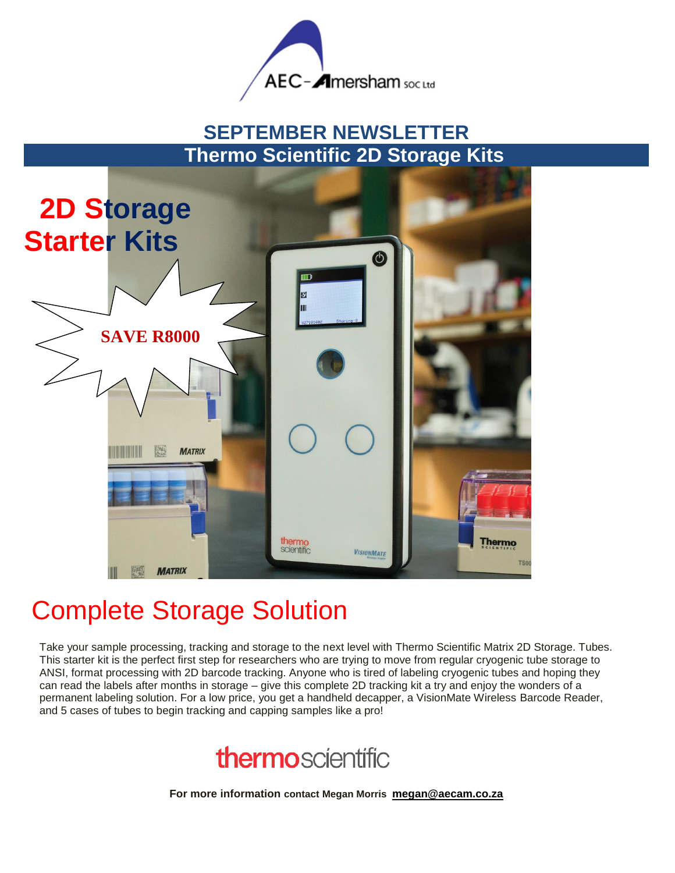

# **SEPTEMBER NEWSLETTER Thermo Scientific 2D Storage Kits**



# Complete Storage Solution

Take your sample processing, tracking and storage to the next level with Thermo Scientific Matrix 2D Storage. Tubes. This starter kit is the perfect first step for researchers who are trying to move from regular cryogenic tube storage to ANSI, format processing with 2D barcode tracking. Anyone who is tired of labeling cryogenic tubes and hoping they can read the labels after months in storage – give this complete 2D tracking kit a try and enjoy the wonders of a permanent labeling solution. For a low price, you get a handheld decapper, a VisionMate Wireless Barcode Reader, and 5 cases of tubes to begin tracking and capping samples like a pro!



**For more information contact Megan Morris [megan@aecam.co.za](mailto:megan@aecam.co.za)**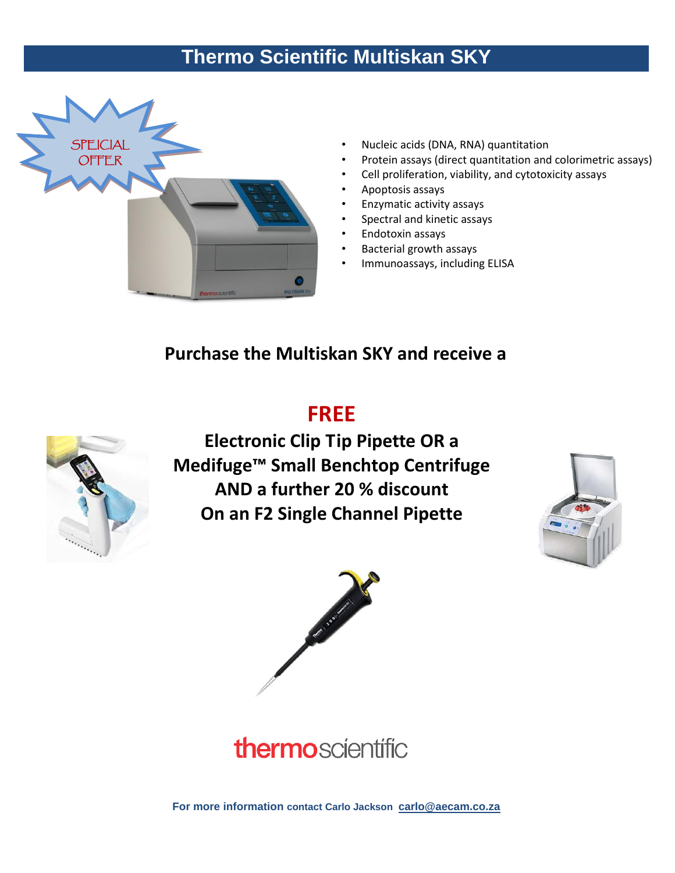# **Thermo Scientific Multiskan SKY**



- Nucleic acids (DNA, RNA) quantitation
- Protein assays (direct quantitation and colorimetric assays)
- Cell proliferation, viability, and cytotoxicity assays
- Apoptosis assays
- Enzymatic activity assays
- Spectral and kinetic assays
- Endotoxin assays
- Bacterial growth assays
- Immunoassays, including ELISA

### **Purchase the Multiskan SKY and receive a**

### **FREE**



**Electronic Clip Tip Pipette OR a Medifuge™ Small Benchtop Centrifuge AND a further 20 % discount On an F2 Single Channel Pipette** 







**For more information contact Carlo Jackson [carlo@aecam.co.za](mailto:carlo@aecam.co.za)**